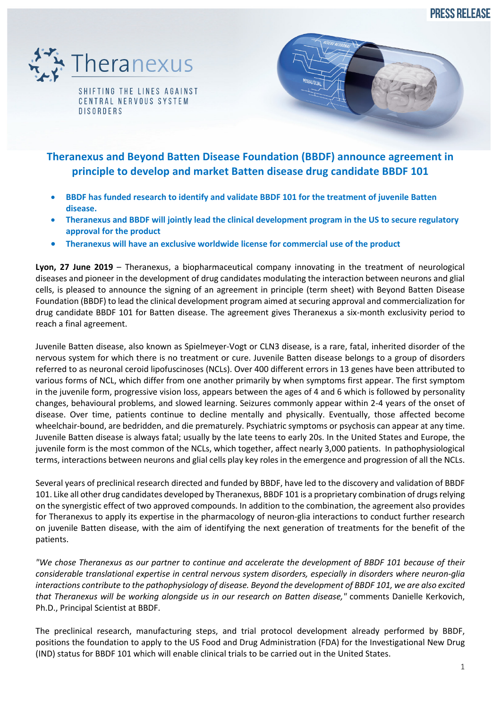**PRESS RELEASE** 



SHIFTING THE LINES AGAINST CENTRAL NERVOUS SYSTEM **DISORDERS** 



# **Theranexus and Beyond Batten Disease Foundation (BBDF) announce agreement in principle to develop and market Batten disease drug candidate BBDF 101**

- **BBDF has funded research to identify and validate BBDF 101 for the treatment of juvenile Batten disease.**
- **Theranexus and BBDF will jointly lead the clinical development program in the US to secure regulatory approval for the product**
- **Theranexus will have an exclusive worldwide license for commercial use of the product**

**Lyon, 27 June 2019** – Theranexus, a biopharmaceutical company innovating in the treatment of neurological diseases and pioneer in the development of drug candidates modulating the interaction between neurons and glial cells, is pleased to announce the signing of an agreement in principle (term sheet) with Beyond Batten Disease Foundation (BBDF) to lead the clinical development program aimed at securing approval and commercialization for drug candidate BBDF 101 for Batten disease. The agreement gives Theranexus a six-month exclusivity period to reach a final agreement.

Juvenile Batten disease, also known as Spielmeyer-Vogt or CLN3 disease, is a rare, fatal, inherited disorder of the nervous system for which there is no treatment or cure. Juvenile Batten disease belongs to a group of disorders referred to as neuronal ceroid lipofuscinoses (NCLs). Over 400 different errors in 13 genes have been attributed to various forms of NCL, which differ from one another primarily by when symptoms first appear. The first symptom in the juvenile form, progressive vision loss, appears between the ages of 4 and 6 which is followed by personality changes, behavioural problems, and slowed learning. Seizures commonly appear within 2-4 years of the onset of disease. Over time, patients continue to decline mentally and physically. Eventually, those affected become wheelchair-bound, are bedridden, and die prematurely. Psychiatric symptoms or psychosis can appear at any time. Juvenile Batten disease is always fatal; usually by the late teens to early 20s. In the United States and Europe, the juvenile form is the most common of the NCLs, which together, affect nearly 3,000 patients. In pathophysiological terms, interactions between neurons and glial cells play key roles in the emergence and progression of all the NCLs.

Several years of preclinical research directed and funded by BBDF, have led to the discovery and validation of BBDF 101. Like all other drug candidates developed by Theranexus, BBDF 101 is a proprietary combination of drugs relying on the synergistic effect of two approved compounds. In addition to the combination, the agreement also provides for Theranexus to apply its expertise in the pharmacology of neuron-glia interactions to conduct further research on juvenile Batten disease, with the aim of identifying the next generation of treatments for the benefit of the patients.

*"We chose Theranexus as our partner to continue and accelerate the development of BBDF 101 because of their considerable translational expertise in central nervous system disorders, especially in disorders where neuron-glia interactions contribute to the pathophysiology of disease. Beyond the development of BBDF 101, we are also excited that Theranexus will be working alongside us in our research on Batten disease,"* comments Danielle Kerkovich, Ph.D., Principal Scientist at BBDF.

The preclinical research, manufacturing steps, and trial protocol development already performed by BBDF, positions the foundation to apply to the US Food and Drug Administration (FDA) for the Investigational New Drug (IND) status for BBDF 101 which will enable clinical trials to be carried out in the United States.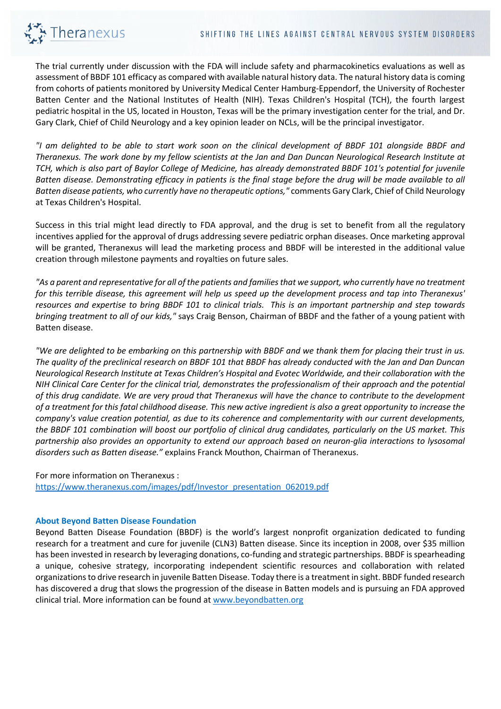

The trial currently under discussion with the FDA will include safety and pharmacokinetics evaluations as well as assessment of BBDF 101 efficacy as compared with available natural history data. The natural history data is coming from cohorts of patients monitored by University Medical Center Hamburg-Eppendorf, the University of Rochester Batten Center and the National Institutes of Health (NIH). Texas Children's Hospital (TCH), the fourth largest pediatric hospital in the US, located in Houston, Texas will be the primary investigation center for the trial, and Dr. Gary Clark, Chief of Child Neurology and a key opinion leader on NCLs, will be the principal investigator.

*"I am delighted to be able to start work soon on the clinical development of BBDF 101 alongside BBDF and Theranexus. The work done by my fellow scientists at the Jan and Dan Duncan Neurological Research Institute at TCH, which is also part of Baylor College of Medicine, has already demonstrated BBDF 101's potential for juvenile Batten disease. Demonstrating efficacy in patients is the final stage before the drug will be made available to all Batten disease patients, who currently have no therapeutic options,"* comments Gary Clark, Chief of Child Neurology at Texas Children's Hospital.

Success in this trial might lead directly to FDA approval, and the drug is set to benefit from all the regulatory incentives applied for the approval of drugs addressing severe pediatric orphan diseases. Once marketing approval will be granted, Theranexus will lead the marketing process and BBDF will be interested in the additional value creation through milestone payments and royalties on future sales.

*"As a parent and representative for all of the patients and families that we support, who currently have no treatment for this terrible disease, this agreement will help us speed up the development process and tap into Theranexus' resources and expertise to bring BBDF 101 to clinical trials. This is an important partnership and step towards bringing treatment to all of our kids,"* says Craig Benson, Chairman of BBDF and the father of a young patient with Batten disease.

*"We are delighted to be embarking on this partnership with BBDF and we thank them for placing their trust in us. The quality of the preclinical research on BBDF 101 that BBDF has already conducted with the Jan and Dan Duncan Neurological Research Institute at Texas Children's Hospital and Evotec Worldwide, and their collaboration with the NIH Clinical Care Center for the clinical trial, demonstrates the professionalism of their approach and the potential of this drug candidate. We are very proud that Theranexus will have the chance to contribute to the development of a treatment for this fatal childhood disease. This new active ingredient is also a great opportunity to increase the company's value creation potential, as due to its coherence and complementarity with our current developments, the BBDF 101 combination will boost our portfolio of clinical drug candidates, particularly on the US market. This partnership also provides an opportunity to extend our approach based on neuron-glia interactions to lysosomal disorders such as Batten disease."* explains Franck Mouthon, Chairman of Theranexus.

For more information on Theranexus : https://www.theranexus.com/images/pdf/Investor\_presentation\_062019.pdf

#### **About Beyond Batten Disease Foundation**

Beyond Batten Disease Foundation (BBDF) is the world's largest nonprofit organization dedicated to funding research for a treatment and cure for juvenile (CLN3) Batten disease. Since its inception in 2008, over \$35 million has been invested in research by leveraging donations, co-funding and strategic partnerships. BBDF is spearheading a unique, cohesive strategy, incorporating independent scientific resources and collaboration with related organizations to drive research in juvenile Batten Disease. Today there is a treatment in sight. BBDF funded research has discovered a drug that slows the progression of the disease in Batten models and is pursuing an FDA approved clinical trial. More information can be found at www.beyondbatten.org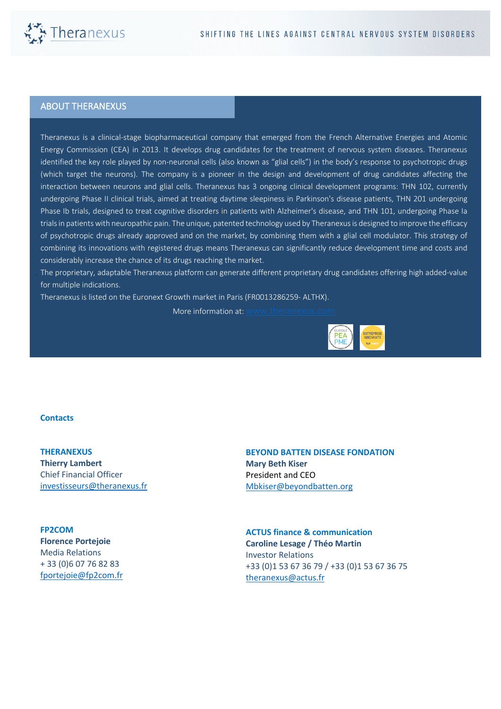

## ABOUT THERANEXUS

Theranexus is a clinical-stage biopharmaceutical company that emerged from the French Alternative Energies and Atomic Energy Commission (CEA) in 2013. It develops drug candidates for the treatment of nervous system diseases. Theranexus identified the key role played by non-neuronal cells (also known as "glial cells") in the body's response to psychotropic drugs (which target the neurons). The company is a pioneer in the design and development of drug candidates affecting the interaction between neurons and glial cells. Theranexus has 3 ongoing clinical development programs: THN 102, currently undergoing Phase II clinical trials, aimed at treating daytime sleepiness in Parkinson's disease patients, THN 201 undergoing Phase Ib trials, designed to treat cognitive disorders in patients with Alzheimer's disease, and THN 101, undergoing Phase Ia trials in patients with neuropathic pain. The unique, patented technology used by Theranexus is designed to improve the efficacy of psychotropic drugs already approved and on the market, by combining them with a glial cell modulator. This strategy of combining its innovations with registered drugs means Theranexus can significantly reduce development time and costs and considerably increase the chance of its drugs reaching the market.

The proprietary, adaptable Theranexus platform can generate different proprietary drug candidates offering high added-value for multiple indications.

Theranexus is listed on the Euronext Growth market in Paris (FR0013286259- ALTHX).

More information at: www.th



#### **Contacts**

**THERANEXUS Thierry Lambert** Chief Financial Officer investisseurs@theranexus.fr

#### **FP2COM**

**Florence Portejoie** Media Relations + 33 (0)6 07 76 82 83 fportejoie@fp2com.fr

### **BEYOND BATTEN DISEASE FONDATION Mary Beth Kiser** President and CEO Mbkiser@beyondbatten.org

**ACTUS finance & communication Caroline Lesage / Théo Martin** Investor Relations +33 (0)1 53 67 36 79 / +33 (0)1 53 67 36 75 theranexus@actus.fr